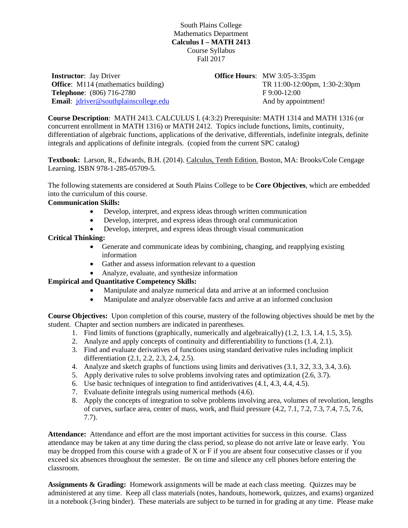South Plains College Mathematics Department **Calculus I – MATH 2413** Course Syllabus Fall 2017

**Instructor**: Jay Driver **Office:** M114 (mathematics building) **Telephone**: (806) 716-2780 **Email**: [jdriver@southplainscollege.edu](mailto:jdriver@southplainscollege.edu) **Office Hours**: MW 3:05-3:35pm TR 11:00-12:00pm, 1:30-2:30pm F 9:00-12:00 And by appointment!

**Course Description**: MATH 2413. CALCULUS I. (4:3:2) Prerequisite: MATH 1314 and MATH 1316 (or concurrent enrollment in MATH 1316) or MATH 2412. Topics include functions, limits, continuity, differentiation of algebraic functions, applications of the derivative, differentials, indefinite integrals, definite integrals and applications of definite integrals. (copied from the current SPC catalog)

**Textbook:** Larson, R., Edwards, B.H. (2014). Calculus, Tenth Edition. Boston, MA: Brooks/Cole Cengage Learning. ISBN 978-1-285-05709-5.

The following statements are considered at South Plains College to be **Core Objectives**, which are embedded into the curriculum of this course.

## **Communication Skills:**

- Develop, interpret, and express ideas through written communication
- Develop, interpret, and express ideas through oral communication
- Develop, interpret, and express ideas through visual communication

## **Critical Thinking:**

- Generate and communicate ideas by combining, changing, and reapplying existing information
- Gather and assess information relevant to a question
- Analyze, evaluate, and synthesize information

## **Empirical and Quantitative Competency Skills:**

- Manipulate and analyze numerical data and arrive at an informed conclusion
- Manipulate and analyze observable facts and arrive at an informed conclusion

**Course Objectives:** Upon completion of this course, mastery of the following objectives should be met by the student. Chapter and section numbers are indicated in parentheses.

- 1. Find limits of functions (graphically, numerically and algebraically) (1.2, 1.3, 1.4, 1.5, 3.5).
- 2. Analyze and apply concepts of continuity and differentiability to functions (1.4, 2.1).
- 3. Find and evaluate derivatives of functions using standard derivative rules including implicit differentiation (2.1, 2.2, 2.3, 2.4, 2.5).
- 4. Analyze and sketch graphs of functions using limits and derivatives (3.1, 3.2, 3.3, 3.4, 3.6).
- 5. Apply derivative rules to solve problems involving rates and optimization (2.6, 3.7).
- 6. Use basic techniques of integration to find antiderivatives (4.1, 4.3, 4.4, 4.5).
- 7. Evaluate definite integrals using numerical methods (4.6).
- 8. Apply the concepts of integration to solve problems involving area, volumes of revolution, lengths of curves, surface area, center of mass, work, and fluid pressure (4.2, 7.1, 7.2, 7.3, 7.4, 7.5, 7.6, 7.7).

**Attendance:** Attendance and effort are the most important activities for success in this course. Class attendance may be taken at any time during the class period, so please do not arrive late or leave early. You may be dropped from this course with a grade of X or F if you are absent four consecutive classes or if you exceed six absences throughout the semester. Be on time and silence any cell phones before entering the classroom.

**Assignments & Grading:** Homework assignments will be made at each class meeting. Quizzes may be administered at any time. Keep all class materials (notes, handouts, homework, quizzes, and exams) organized in a notebook (3-ring binder). These materials are subject to be turned in for grading at any time. Please make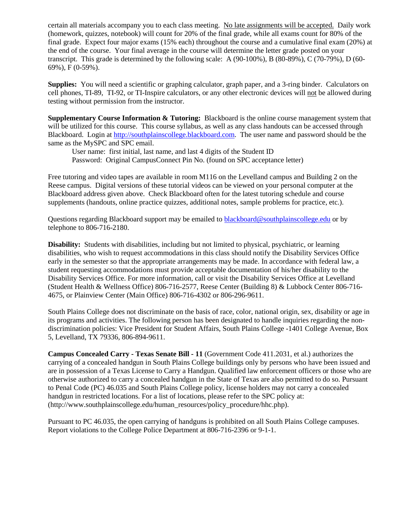certain all materials accompany you to each class meeting. No late assignments will be accepted. Daily work (homework, quizzes, notebook) will count for 20% of the final grade, while all exams count for 80% of the final grade. Expect four major exams (15% each) throughout the course and a cumulative final exam (20%) at the end of the course. Your final average in the course will determine the letter grade posted on your transcript. This grade is determined by the following scale: A (90-100%), B (80-89%), C (70-79%), D (60- 69%), F (0-59%).

**Supplies:** You will need a scientific or graphing calculator, graph paper, and a 3-ring binder. Calculators on cell phones, TI-89, TI-92, or TI-Inspire calculators, or any other electronic devices will not be allowed during testing without permission from the instructor.

**Supplementary Course Information & Tutoring:** Blackboard is the online course management system that will be utilized for this course. This course syllabus, as well as any class handouts can be accessed through Blackboard. Login at [http://southplainscollege.blackboard.com.](http://southplainscollege.blackboard.com/) The user name and password should be the same as the MySPC and SPC email.

User name: first initial, last name, and last 4 digits of the Student ID Password: Original CampusConnect Pin No. (found on SPC acceptance letter)

Free tutoring and video tapes are available in room M116 on the Levelland campus and Building 2 on the Reese campus. Digital versions of these tutorial videos can be viewed on your personal computer at the Blackboard address given above. Check Blackboard often for the latest tutoring schedule and course supplements (handouts, online practice quizzes, additional notes, sample problems for practice, etc.).

Questions regarding Blackboard support may be emailed to **blackboard@southplainscollege.edu** or by telephone to 806-716-2180.

**Disability:** Students with disabilities, including but not limited to physical, psychiatric, or learning disabilities, who wish to request accommodations in this class should notify the Disability Services Office early in the semester so that the appropriate arrangements may be made. In accordance with federal law, a student requesting accommodations must provide acceptable documentation of his/her disability to the Disability Services Office. For more information, call or visit the Disability Services Office at Levelland (Student Health & Wellness Office) 806-716-2577, Reese Center (Building 8) & Lubbock Center 806-716- 4675, or Plainview Center (Main Office) 806-716-4302 or 806-296-9611.

South Plains College does not discriminate on the basis of race, color, national origin, sex, disability or age in its programs and activities. The following person has been designated to handle inquiries regarding the nondiscrimination policies: Vice President for Student Affairs, South Plains College -1401 College Avenue, Box 5, Levelland, TX 79336, 806-894-9611.

**Campus Concealed Carry - Texas Senate Bill - 11** (Government Code 411.2031, et al.) authorizes the carrying of a concealed handgun in South Plains College buildings only by persons who have been issued and are in possession of a Texas License to Carry a Handgun. Qualified law enforcement officers or those who are otherwise authorized to carry a concealed handgun in the State of Texas are also permitted to do so. Pursuant to Penal Code (PC) 46.035 and South Plains College policy, license holders may not carry a concealed handgun in restricted locations. For a list of locations, please refer to the SPC policy at: (http://www.southplainscollege.edu/human\_resources/policy\_procedure/hhc.php).

Pursuant to PC 46.035, the open carrying of handguns is prohibited on all South Plains College campuses. Report violations to the College Police Department at 806-716-2396 or 9-1-1.